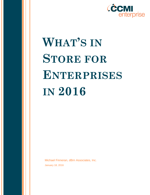

# **WHAT'S IN STORE FOR ENTERPRISES IN 2016**

Michael Finneran, dBrn Associates, Inc. January 18, 2016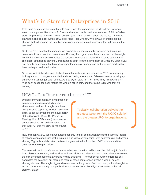# What's in Store for Enterprises in 2016

Enterprise communications continue to evolve, and the combination of ideas from traditional enterprise suppliers like Microsoft, Cisco and Avaya coupled with a whole crop of Silicon Valley start-ups promises to make 2016 an exciting year. When thinking about the future, I'm always drawn to a line from Bill Gates' 1996 book "The Road Ahead", "We always overestimate the change that will occur in the next two years and underestimate the change that will occur in the next ten."

So it is in 2016. Most of the changes we anticipate go back a number of years and might not come to fruition for another two or three. Further, the organization that conceives the idea might not be the one that ultimately reaps the rewards. We see that today with creative startups that challenge established players... organizations spun from the same cloth as Amazon, Uber, eBay and airbnb, companies that have developed technology-based ideas and business models that have reshaped entire industries.

So as we look at the ideas and technologies that will impact enterprises in 2016, we are really looking at macro changes in our field and then taking a snapshot of developments that will play out over a much longer span of time. As Bob Dylan sang in "The Times They Are a Changin'", "And don't speak too soon 'cause the wheel's still in spin, and there's no tellin' who that it's naming."

#### UC&C - THE RISE OF THE LATTER "C"

Unified communications, the integration of communications tools including voice, video, email and text in single dashboard with presence capability to allow users the ability to see a correspondent's availability status (Available, Busy, On Phone, In Meeting, Out of Office, etc.) has spawned an additional "C" for "collaboration". It is that latter "C" that will grow in importance in 2016.

Typically, collaboration delivers the greatest value from the UC&C solution and the greatest ROI to organizations.

Now, through UC&C, users have access not only to their communications tools but the full range of collaboration capabilities including audio and video conferencing, web conferencing and screen sharing. Typically, collaboration delivers the greatest value from the UC&C solution and the greatest ROI to organizations.

The ease with which conferences can be scheduled or set up ad hoc and the click-to-join function is an obvious time saver, and vendors add new tricks and twists with each new release. However, the mix of conferences that are being held is changing. The traditional audio conference still dominates the category, but more and more of those conferences involve a web or screensharing element. The single biggest development is the growth of ad hoc video, either through the UC&C platform or through the public cloud-based versions like Vidyo, Blue Jeans or the old stalwart, Skype.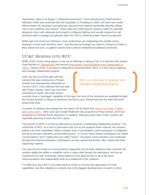Importantly, video is no longer a "Hollywood production." Cisco introduced its TelePresence offering in 2006 and continued with the acquisition of Tandberg in 2009, and each new model offered better HD resolution and generally required more network bandwidth (thereby selling more Cisco switches and routers). These high-end TelePresence systems called for specially designed rooms with adequate and properly configured lighting and usually required on-call technical staff to manage any glitches when the CEO's conference didn't launch as planned.

While high-end rooms are still there, more conferences are originating from huddle rooms, desktops or from work-at-home users. And the only technology you need is a Skype (or Vidyo or Blue Jeans) account, a Logitech camera and a decent residential broadband connection.

### UC&C MORPHS INTO WCC

While UC&C moves along apace, a new set of offerings is taking UC&C in a direction that analyst Dave Michels of [TalkingPointz h](http://www.talkingpointz.com/)as termed Workstream Communications and Collaboration or ["WCC."](http://www.nojitter.com/post/240170502/wcc-makes-communications-strategic-again) Where UC&C is focused on integrating communications, WCC is a new way to organize and manage collaborative projects.

Unify was first out of the gate with this solution that was introduced as Project Ansible and subsequently rebranded as Circuit in 2014. Cisco followed the next year with Project Square, which has now been rebranded as Spark. Microsoft doesn't

WCC is a new way to organize and manage collaborative projects.

currently have a "packaged" capability of this type, but most of the elements are available through the Groups function in Skype for Business (formerly Lync), SharePoint and the other Microsoft productivity tools.

A number of startups also jumped into the space, led by Slack who [claims more than 2 million](http://blogs.wsj.com/digits/2015/12/15/slack-raises-80-million-fund-to-support-platform-strategy/)  [daily active users.](http://blogs.wsj.com/digits/2015/12/15/slack-raises-80-million-fund-to-support-platform-strategy/) Other start-ups include Redbooth Glip (acquired by Ring Central), and Fuze (acquired by Thinking Phone Networks). In addition, Mitel and some other UC&C vendors are reportedly planning to enter the WCC space.

The premise of WCC is to find an alternative to email for coordinating collaborative projects. You could think of WCC as a form of persistent chat, but as the products have matured, the vendors added a lot more capabilities. When a project team is assembled, a joint workspace is configured and all of the team members are provided access. In Circuit, these shared workspaces are called "conversations" and in Spark they are called "rooms." All project communications are conducted through that shared workspace. Participants can also upload documents, files, videos and other supporting material.

Text was the first mode of communications supported, but as these platforms have matured, the vendors added the ability to establish voice or video calls through the workspace, and set-up conferences as well. Essentially, these platforms now allow access to all of the same communications and collaboration tools as a traditional UC&C platform.

It is difficult to say if WCC is an alternative to UC&C or just the next generation of UC&C capabilities, but their adoption is certainly one of the biggest developments to watch in 2016.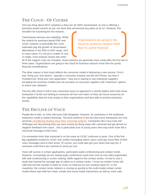#### THE CLOUD - OF COURSE

One key thing about WCC solutions is they are all 100% cloud-based; no one is offering a premises-based version as yet, nor have they announced any plans to do so. However, this shouldn't be surprising for two reasons.

Cloud-based services are exploding. While the market for premises-based PBX and UC&C systems is essentially flat, most estimates peg the growth of cloud-based alternatives in the 30% to 40% range. And in many cases, it's not just a matter of cost. In reality, most analysis shows that when

Organizations are going to the cloud for business reasons more than for purely financial

all of the support costs are included, cloud solutions are generally more costly after the first two to three years. Organizations are going to the cloud for business reasons more than for purely financial considerations.

The other reason is that cloud reflects the consumer model of delivering a new service. First it was "bring your own device", typically a consumer inspired one like the iPhone, but then it morphed into "bring your own application." Now we're starting to see enterprise suppliers emulating the business models and roll-out plans of consumer suppliers with "freemium" options to entice user adoption.

The key with cloud is that it now a business issue as opposed to a strictly dollars-and-cents issue. Enterprise C-levels are looking to outsource all non-core tasks so they can focus resources on the capabilities that are truly unique to their organizations and best able to produce business results.

#### THE DECLINE OF VOICE

People like to talk, so voice will never fully disappear; however, its usefulness in the traditional enterprise model is indeed declining. The best evidence is the fact that some enterprises are now seriously [considering shutting down their voicemail systems.](https://www.washingtonpost.com/news/on-leadership/wp/2015/06/04/the-end-of-office-voice-mail/) Companies like Coca-Cola and JPMorgan are discovering they can save money by doing away with voicemail and get almost no negative feedback from users…this is particularly true of young users who may never have left a voicemail message in their lives!

It is somewhat ironic that voicemail is on the wane as UC&C continues to grow. One of the first big capabilities touted for UC&C was unified messaging where users could get sound files of their voice messages sent to their email. Of course, you could also get your faxes that way too, if someone could find a fax machine to send you one.

Voice will survive in certain applications, particularly audio conferencing and contact center. However, increasingly we are seeing audio conferences (and even one-on-one calls) augmented with web conferencing or screen sharing. (With regard to the contact center, I'd love to see a study that tracked the average age of callers to a contact center. I know my mother-in-law still calls that toll free number to listen to music on hold but my son certainly doesn't!). In the meantime, the contact center industry is moving as quickly to the multi-modal contact center model where reps field text chats, emails and social media interactions as well as voice calls.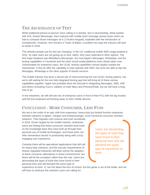#### THE ASCENDANCE OF TEXT

While traditional person-to-person voice calling is in decline, text is skyrocketing. What started with AOL Instant Messenger, then matured with mobile short message service (even when we had to compose those messages on a 12-button keypad), exploded with the introduction of smartphones. However, text remains a Tower of Babel, a problem we hope the industry will start to tackle in 2016.

The vehicles people use for text are changing. In the US, traditional mobile SMS usage peaked in 2012. Its clear users are not giving up on text; rather, they have switched to other options. The first major breakout was BlackBerry Messenger, but now Apple's Messages, WhatsApp, and the texting capabilities in Facebook and the other social media platforms have clearly taken over. Unfortunately for enterprise users, the UC&C texting capabilities remain largely outside the mainstream. A few do offer the capability to inter-operate with SMS, but none are able to tap into Messages, WhatsApp or the other popular IP-based services.

The mobile industry has done a decent job of interconnecting the non-UC&C texting options, but we're still waiting for the one fully integrated texting app that will bring all of these various capabilities together. Apple has probably done the best job in integrating Messages, SMS, AIM and others (including Cisco's Jabber) on both Macs and iPhones/iPads, but we still have a long way to go.

In the meantime, we will still see lots of enterprise users in front of their PCs with the big monitor and full-size keyboard and texting away on their mobile devices.

## CONCLUSION - MORE CONSUMER, LESS FUSS

We are in the midst of an epic shift from expensive, heavy-duty but limited function enterprise oriented solutions to lighter, cheaper and embarrassingly, more functional consumer-oriented

solutions. That migration will continue and even accelerate in 2016. Driven largely by the mobile industry, enterprise users are finding that these consumer-oriented tools build on the knowledge base they have built up through their personal use of mobile technologies, and those tools can offer tremendous boosts in productivity along with a truly engaging user experience.

Certainly there will be specialized applications that still call for heavy-duty solutions, and the security requirements of heavily regulated industries will likely stymie the adoption of these consumer alternatives in those environments, but those will be the exception rather than the rule. Users are demanding the types of tools they have found in their personal lives and will demand the same type of

Users are demanding the types of tools they have found in their personal lives and will demand the same type of experience at work.

experience at work. IT can fret about the loss of control, but the genie is out of the bottle, and we will have to embrace the solutions users are calling for.

 $_4$   $\odot$